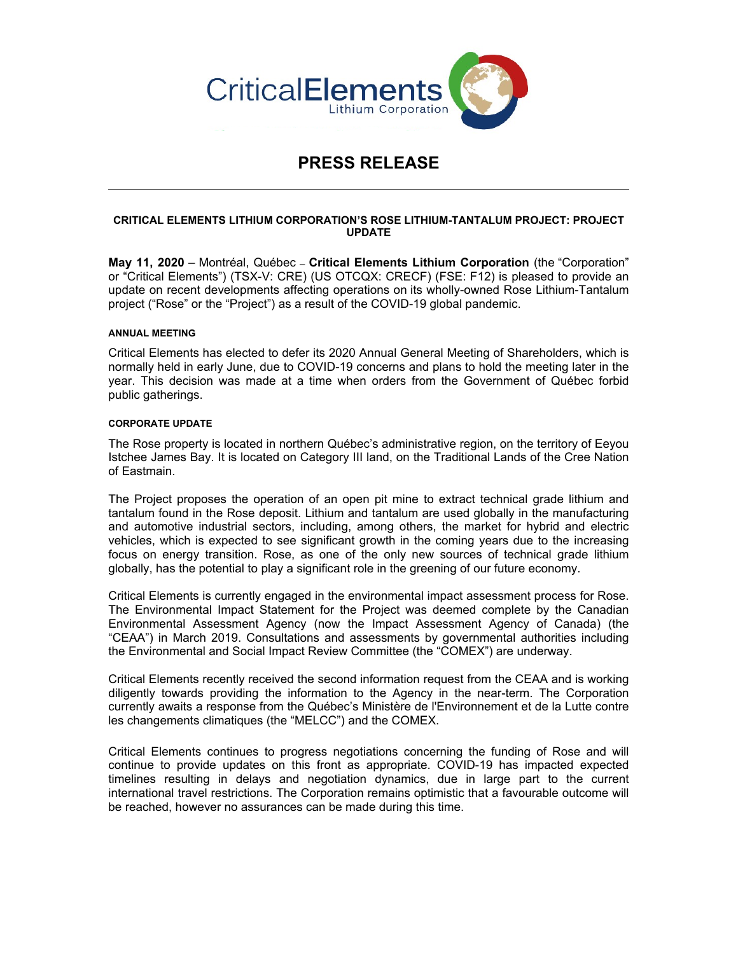

# **PRESS RELEASE**

# **CRITICAL ELEMENTS LITHIUM CORPORATION'S ROSE LITHIUM-TANTALUM PROJECT: PROJECT UPDATE**

**May 11, 2020** – Montréal, Québec – **Critical Elements Lithium Corporation** (the "Corporation" or "Critical Elements") (TSX-V: CRE) (US OTCQX: CRECF) (FSE: F12) is pleased to provide an update on recent developments affecting operations on its wholly-owned Rose Lithium-Tantalum project ("Rose" or the "Project") as a result of the COVID-19 global pandemic.

## **ANNUAL MEETING**

Critical Elements has elected to defer its 2020 Annual General Meeting of Shareholders, which is normally held in early June, due to COVID-19 concerns and plans to hold the meeting later in the year. This decision was made at a time when orders from the Government of Québec forbid public gatherings.

## **CORPORATE UPDATE**

The Rose property is located in northern Québec's administrative region, on the territory of Eeyou Istchee James Bay. It is located on Category III land, on the Traditional Lands of the Cree Nation of Eastmain.

The Project proposes the operation of an open pit mine to extract technical grade lithium and tantalum found in the Rose deposit. Lithium and tantalum are used globally in the manufacturing and automotive industrial sectors, including, among others, the market for hybrid and electric vehicles, which is expected to see significant growth in the coming years due to the increasing focus on energy transition. Rose, as one of the only new sources of technical grade lithium globally, has the potential to play a significant role in the greening of our future economy.

Critical Elements is currently engaged in the environmental impact assessment process for Rose. The Environmental Impact Statement for the Project was deemed complete by the Canadian Environmental Assessment Agency (now the Impact Assessment Agency of Canada) (the "CEAA") in March 2019. Consultations and assessments by governmental authorities including the Environmental and Social Impact Review Committee (the "COMEX") are underway.

Critical Elements recently received the second information request from the CEAA and is working diligently towards providing the information to the Agency in the near-term. The Corporation currently awaits a response from the Québec's Ministère de l'Environnement et de la Lutte contre les changements climatiques (the "MELCC") and the COMEX.

Critical Elements continues to progress negotiations concerning the funding of Rose and will continue to provide updates on this front as appropriate. COVID-19 has impacted expected timelines resulting in delays and negotiation dynamics, due in large part to the current international travel restrictions. The Corporation remains optimistic that a favourable outcome will be reached, however no assurances can be made during this time.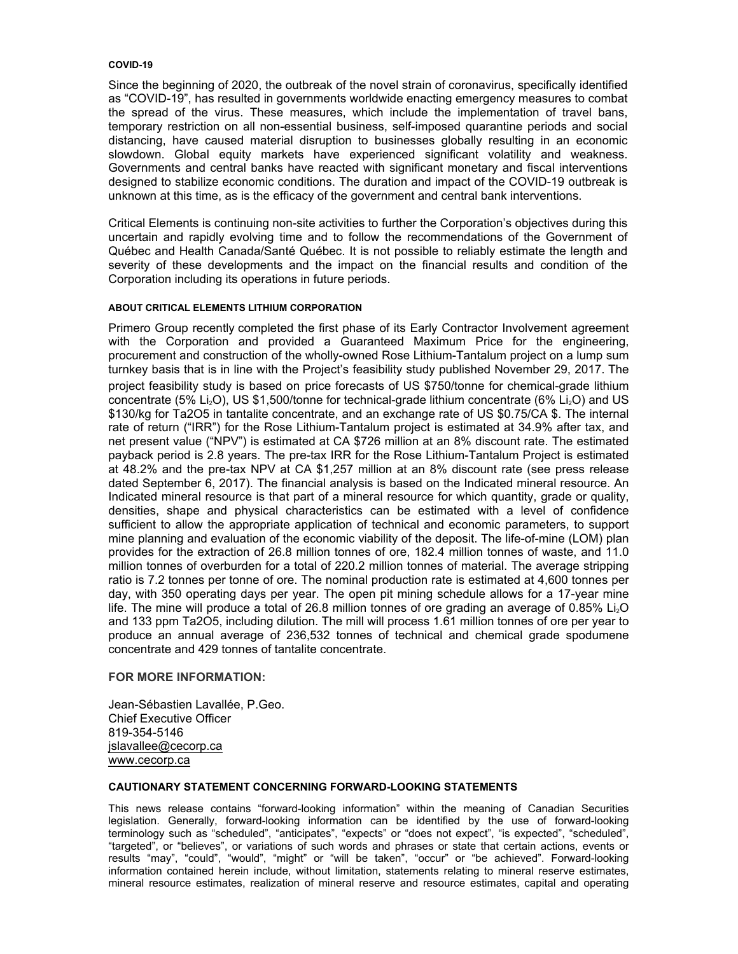#### **COVID-19**

Since the beginning of 2020, the outbreak of the novel strain of coronavirus, specifically identified as "COVID-19", has resulted in governments worldwide enacting emergency measures to combat the spread of the virus. These measures, which include the implementation of travel bans, temporary restriction on all non-essential business, self-imposed quarantine periods and social distancing, have caused material disruption to businesses globally resulting in an economic slowdown. Global equity markets have experienced significant volatility and weakness. Governments and central banks have reacted with significant monetary and fiscal interventions designed to stabilize economic conditions. The duration and impact of the COVID-19 outbreak is unknown at this time, as is the efficacy of the government and central bank interventions.

Critical Elements is continuing non-site activities to further the Corporation's objectives during this uncertain and rapidly evolving time and to follow the recommendations of the Government of Québec and Health Canada/Santé Québec. It is not possible to reliably estimate the length and severity of these developments and the impact on the financial results and condition of the Corporation including its operations in future periods.

# **ABOUT CRITICAL ELEMENTS LITHIUM CORPORATION**

Primero Group recently completed the first phase of its Early Contractor Involvement agreement with the Corporation and provided a Guaranteed Maximum Price for the engineering, procurement and construction of the wholly-owned Rose Lithium-Tantalum project on a lump sum turnkey basis that is in line with the Project's feasibility study published November 29, 2017. The project feasibility study is based on price forecasts of US \$750/tonne for chemical-grade lithium concentrate (5% Li<sub>2</sub>O), US \$1,500/tonne for technical-grade lithium concentrate (6% Li<sub>2</sub>O) and US \$130/kg for Ta2O5 in tantalite concentrate, and an exchange rate of US \$0.75/CA \$. The internal rate of return ("IRR") for the Rose Lithium-Tantalum project is estimated at 34.9% after tax, and net present value ("NPV") is estimated at CA \$726 million at an 8% discount rate. The estimated payback period is 2.8 years. The pre-tax IRR for the Rose Lithium-Tantalum Project is estimated at 48.2% and the pre-tax NPV at CA \$1,257 million at an 8% discount rate (see press release dated September 6, 2017). The financial analysis is based on the Indicated mineral resource. An Indicated mineral resource is that part of a mineral resource for which quantity, grade or quality, densities, shape and physical characteristics can be estimated with a level of confidence sufficient to allow the appropriate application of technical and economic parameters, to support mine planning and evaluation of the economic viability of the deposit. The life-of-mine (LOM) plan provides for the extraction of 26.8 million tonnes of ore, 182.4 million tonnes of waste, and 11.0 million tonnes of overburden for a total of 220.2 million tonnes of material. The average stripping ratio is 7.2 tonnes per tonne of ore. The nominal production rate is estimated at 4,600 tonnes per day, with 350 operating days per year. The open pit mining schedule allows for a 17-year mine life. The mine will produce a total of 26.8 million tonnes of ore grading an average of 0.85% Li<sub>2</sub>O and 133 ppm Ta2O5, including dilution. The mill will process 1.61 million tonnes of ore per year to produce an annual average of 236,532 tonnes of technical and chemical grade spodumene concentrate and 429 tonnes of tantalite concentrate.

## **FOR MORE INFORMATION:**

Jean-Sébastien Lavallée, P.Geo. Chief Executive Officer 819-354-5146 jslavallee@cecorp.ca www.cecorp.ca

## **CAUTIONARY STATEMENT CONCERNING FORWARD-LOOKING STATEMENTS**

This news release contains "forward-looking information" within the meaning of Canadian Securities legislation. Generally, forward-looking information can be identified by the use of forward-looking terminology such as "scheduled", "anticipates", "expects" or "does not expect", "is expected", "scheduled", "targeted", or "believes", or variations of such words and phrases or state that certain actions, events or results "may", "could", "would", "might" or "will be taken", "occur" or "be achieved". Forward-looking information contained herein include, without limitation, statements relating to mineral reserve estimates, mineral resource estimates, realization of mineral reserve and resource estimates, capital and operating